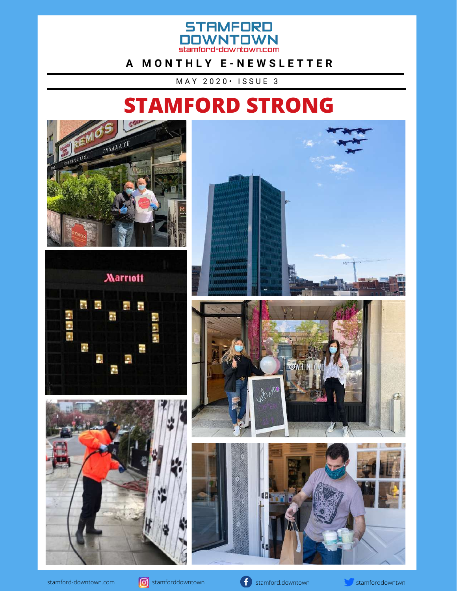

#### **A M O N T H L Y E - N E W S L E T T E R**

M A Y 2 0 2 0 • I S S U E 3

## **STAMFORD STRONG**







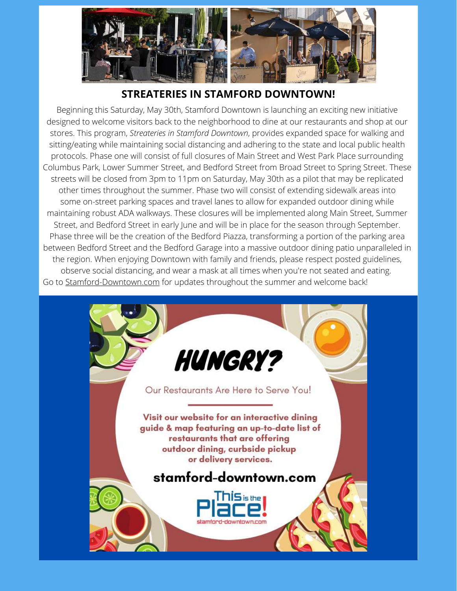

#### **STREATERIES IN STAMFORD DOWNTOWN!**

Beginning this Saturday, May 30th, Stamford Downtown is launching an exciting new initiative designed to welcome visitors back to the neighborhood to dine at our restaurants and shop at our stores. This program, *Streateries in Stamford Downtown*, provides expanded space for walking and sitting/eating while maintaining social distancing and adhering to the state and local public health protocols. Phase one will consist of full closures of Main Street and West Park Place surrounding Columbus Park, Lower Summer Street, and Bedford Street from Broad Street to Spring Street. These streets will be closed from 3pm to 11pm on Saturday, May 30th as a pilot that may be replicated other times throughout the summer. Phase two will consist of extending sidewalk areas into some on-street parking spaces and travel lanes to allow for expanded outdoor dining while maintaining robust ADA walkways. These closures will be implemented along Main Street, Summer Street, and Bedford Street in early June and will be in place for the season through September. Phase three will be the creation of the Bedford Piazza, transforming a portion of the parking area between Bedford Street and the Bedford Garage into a massive outdoor dining patio unparalleled in the region. When enjoying Downtown with family and friends, please respect posted guidelines, observe social distancing, and wear a mask at all times when you're not seated and eating. Go to [Stamford-Downtown.com](http://stamford-downtown.com/) for updates throughout the summer and welcome back!

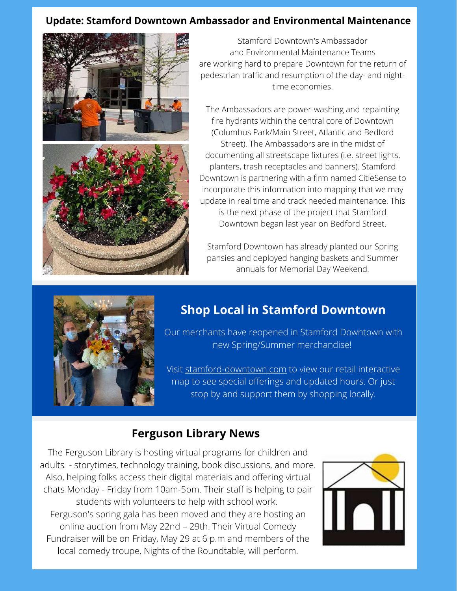#### **Update: Stamford Downtown Ambassador and Environmental Maintenance**



Stamford Downtown's Ambassador and Environmental Maintenance Teams are working hard to prepare Downtown for the return of pedestrian traffic and resumption of the day- and nighttime economies.

The Ambassadors are power-washing and repainting fire hydrants within the central core of Downtown (Columbus Park/Main Street, Atlantic and Bedford Street). The Ambassadors are in the midst of documenting all streetscape fixtures (i.e. street lights, planters, trash receptacles and banners). Stamford Downtown is partnering with a firm named CitieSense to incorporate this information into mapping that we may update in real time and track needed maintenance. This is the next phase of the project that Stamford Downtown began last year on Bedford Street.

Stamford Downtown has already planted our Spring pansies and deployed hanging baskets and Summer annuals for Memorial Day Weekend.



#### **Shop Local in Stamford Downtown**

[Our merchants have reopened in Stamford Downtown with](http://stamford-downtown.com/) new Spring/Summer merchandise!

[Visit stamford-downtown.com to view our retail interactive](http://stamford-downtown.com/) map to see special offerings and updated hours. Or just stop by and support them by shopping locally.

#### **Ferguson Library News**

The Ferguson Library is hosting virtual programs for children and [adults - storytimes, technology training, book discussions, and more.](https://fergusonlibrary.org/) Also, helping folks access their digital materials and offering virtual chats Monday - Friday from 10am-5pm. Their staff is helping to pair students with volunteers to help with school work[.](https://fergusonlibrary.org/) Fe[rguson's spring gala has been moved and they are hosting an](https://fergusonlibrary.org/) online auction from May 22nd – 29th. Their Virtual Comedy [Fundraiser will be on Friday, May 29 at 6 p.m and members of the](https://fergusonlibrary.org/) local comedy troupe, Nights of the Roundtable, will perform.

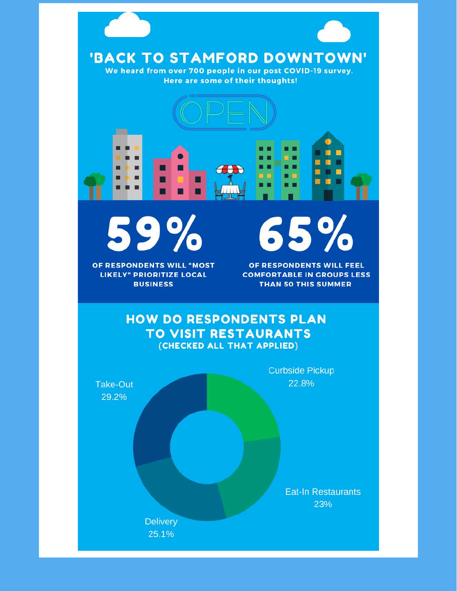